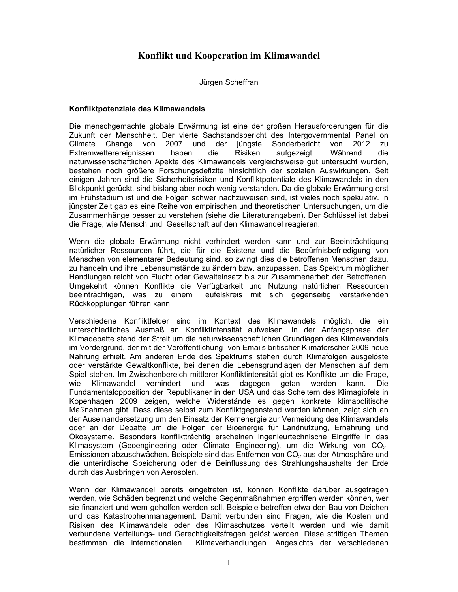# Konflikt und Kooperation im Klimawandel

Jürgen Scheffran

# Konfliktpotenziale des Klimawandels

Die menschgemachte globale Erwärmung ist eine der großen Herausforderungen für die Zukunft der Menschheit. Der vierte Sachstandsbericht des Intergovernmental Panel on Climate Change von 2007 und der jüngste Sonderbericht von 2012 zu Risiken Während Extremwetterereignissen haben die aufgezeigt. die naturwissenschaftlichen Apekte des Klimawandels vergleichsweise gut untersucht wurden, bestehen noch größere Forschungsdefizite hinsichtlich der sozialen Auswirkungen. Seit einigen Jahren sind die Sicherheitsrisiken und Konfliktpotentiale des Klimawandels in den Blickpunkt gerückt, sind bislang aber noch wenig verstanden. Da die globale Erwärmung erst im Frühstadium ist und die Folgen schwer nachzuweisen sind, ist vieles noch spekulativ. In jüngster Zeit gab es eine Reihe von empirischen und theoretischen Untersuchungen, um die Zusammenhänge besser zu verstehen (siehe die Literaturangaben). Der Schlüssel ist dabei die Frage, wie Mensch und Gesellschaft auf den Klimawandel reagieren.

Wenn die globale Erwärmung nicht verhindert werden kann und zur Beeinträchtigung natürlicher Ressourcen führt, die für die Existenz und die Bedürfnisbefriedigung von Menschen von elementarer Bedeutung sind, so zwingt dies die betroffenen Menschen dazu, zu handeln und ihre Lebensumstände zu ändern bzw. anzupassen. Das Spektrum möglicher Handlungen reicht von Flucht oder Gewalteinsatz bis zur Zusammenarbeit der Betroffenen. Umgekehrt können Konflikte die Verfügbarkeit und Nutzung natürlichen Ressourcen beeinträchtigen, was zu einem Teufelskreis mit sich gegenseitig verstärkenden Rückkopplungen führen kann.

Verschiedene Konfliktfelder sind im Kontext des Klimawandels möglich, die ein unterschiedliches Ausmaß an Konfliktintensität aufweisen. In der Anfangsphase der Klimadebatte stand der Streit um die naturwissenschaftlichen Grundlagen des Klimawandels im Vordergrund, der mit der Veröffentlichung von Emails britischer Klimaforscher 2009 neue Nahrung erhielt. Am anderen Ende des Spektrums stehen durch Klimafolgen ausgelöste oder verstärkte Gewaltkonflikte, bei denen die Lebensgrundlagen der Menschen auf dem Spiel stehen. Im Zwischenbereich mittlerer Konfliktintensität gibt es Konflikte um die Frage, dagegen wie Klimawandel verhindert und was getan werden kann. Die Fundamentalopposition der Republikaner in den USA und das Scheitern des Klimagipfels in Kopenhagen 2009 zeigen, welche Widerstände es gegen konkrete klimapolitische Maßnahmen gibt. Dass diese selbst zum Konfliktgegenstand werden können, zeigt sich an der Auseinandersetzung um den Einsatz der Kernenergie zur Vermeidung des Klimawandels oder an der Debatte um die Folgen der Bioenergie für Landnutzung, Ernährung und Ökosysteme. Besonders konfliktträchtig erscheinen ingenieurtechnische Eingriffe in das Klimasystem (Geoengineering oder Climate Engineering), um die Wirkung von CO<sub>2</sub>-Emissionen abzuschwächen. Beispiele sind das Entfernen von CO<sub>2</sub> aus der Atmosphäre und die unterirdische Speicherung oder die Beinflussung des Strahlungshaushalts der Erde durch das Ausbringen von Aerosolen.

Wenn der Klimawandel bereits eingetreten ist, können Konflikte darüber ausgetragen werden, wie Schäden begrenzt und welche Gegenmaßnahmen ergriffen werden können, wer sie finanziert und wem geholfen werden soll. Beispiele betreffen etwa den Bau von Deichen und das Katastrophenmanagement. Damit verbunden sind Fragen, wie die Kosten und Risiken des Klimawandels oder des Klimaschutzes verteilt werden und wie damit verbundene Verteilungs- und Gerechtigkeitsfragen gelöst werden. Diese strittigen Themen bestimmen die internationalen Klimaverhandlungen. Angesichts der verschiedenen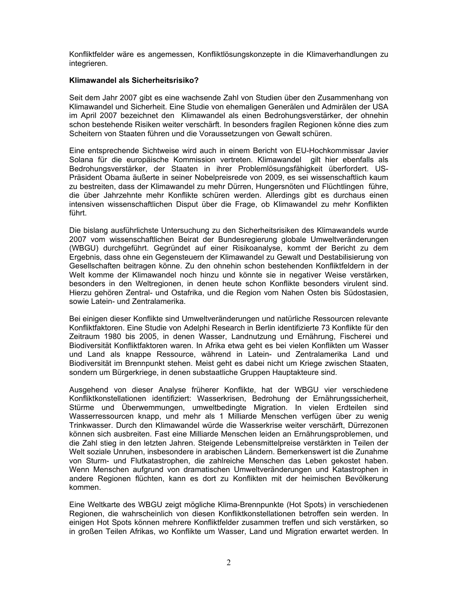Konfliktfelder wäre es angemessen, Konfliktlösungskonzepte in die Klimaverhandlungen zu integrieren.

# Klimawandel als Sicherheitsrisiko?

Seit dem Jahr 2007 gibt es eine wachsende Zahl von Studien über den Zusammenhang von Klimawandel und Sicherheit. Eine Studie von ehemaligen Generälen und Admirälen der USA im April 2007 bezeichnet den Klimawandel als einen Bedrohungsverstärker, der ohnehin schon bestehende Risiken weiter verschärft. In besonders fragilen Regionen könne dies zum Scheitern von Staaten führen und die Voraussetzungen von Gewalt schüren.

Eine entsprechende Sichtweise wird auch in einem Bericht von EU-Hochkommissar Javier Solana für die europäische Kommission vertreten. Klimawandel gilt hier ebenfalls als Bedrohungsverstärker, der Staaten in ihrer Problemlösungsfähigkeit überfordert. US-Präsident Obama äußerte in seiner Nobelpreisrede von 2009, es sei wissenschaftlich kaum zu bestreiten, dass der Klimawandel zu mehr Dürren, Hungersnöten und Flüchtlingen führe, die über Jahrzehnte mehr Konflikte schüren werden. Allerdings gibt es durchaus einen intensiven wissenschaftlichen Disput über die Frage, ob Klimawandel zu mehr Konflikten führt.

Die bislang ausführlichste Untersuchung zu den Sicherheitsrisiken des Klimawandels wurde 2007 vom wissenschaftlichen Beirat der Bundesregierung globale Umweltveränderungen (WBGU) durchgeführt. Gegründet auf einer Risikoanalyse, kommt der Bericht zu dem Ergebnis, dass ohne ein Gegensteuern der Klimawandel zu Gewalt und Destabilisierung von Gesellschaften beitragen könne. Zu den ohnehin schon bestehenden Konfliktfeldern in der Welt komme der Klimawandel noch hinzu und könnte sie in negativer Weise verstärken, besonders in den Weltregionen, in denen heute schon Konflikte besonders virulent sind. Hierzu gehören Zentral- und Ostafrika, und die Region vom Nahen Osten bis Südostasien. sowie Latein- und Zentralamerika.

Bei einigen dieser Konflikte sind Umweltveränderungen und natürliche Ressourcen relevante Konfliktfaktoren. Eine Studie von Adelphi Research in Berlin identifizierte 73 Konflikte für den Zeitraum 1980 bis 2005, in denen Wasser, Landnutzung und Ernährung, Fischerei und Biodiversität Konfliktfaktoren waren. In Afrika etwa geht es bei vielen Konflikten um Wasser und Land als knappe Ressource, während in Latein- und Zentralamerika Land und Biodiversität im Brennpunkt stehen. Meist geht es dabei nicht um Kriege zwischen Staaten, sondern um Bürgerkriege, in denen substaatliche Gruppen Hauptakteure sind.

Ausgehend von dieser Analyse früherer Konflikte, hat der WBGU vier verschiedene Konfliktkonstellationen identifiziert: Wasserkrisen, Bedrohung der Ernährungssicherheit, Stürme und Überwemmungen, umweltbedingte Migration. In vielen Erdteilen sind Wasserressourcen knapp, und mehr als 1 Milliarde Menschen verfügen über zu wenig Trinkwasser. Durch den Klimawandel würde die Wasserkrise weiter verschärft. Dürrezonen können sich ausbreiten. Fast eine Milliarde Menschen leiden an Ernährungsproblemen, und die Zahl stieg in den letzten Jahren. Steigende Lebensmittelpreise verstärkten in Teilen der Welt soziale Unruhen, insbesondere in arabischen Ländern. Bemerkenswert ist die Zunahme von Sturm- und Flutkatastrophen, die zahlreiche Menschen das Leben gekostet haben. Wenn Menschen aufgrund von dramatischen Umweltveränderungen und Katastrophen in andere Regionen flüchten, kann es dort zu Konflikten mit der heimischen Bevölkerung kommen.

Eine Weltkarte des WBGU zeigt mögliche Klima-Brennpunkte (Hot Spots) in verschiedenen Regionen, die wahrscheinlich von diesen Konfliktkonstellationen betroffen sein werden. In einigen Hot Spots können mehrere Konfliktfelder zusammen treffen und sich verstärken, so in großen Teilen Afrikas, wo Konflikte um Wasser, Land und Migration erwartet werden. In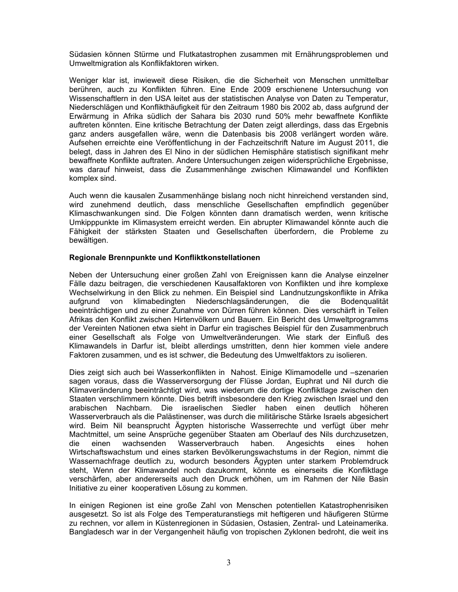Südasien können Stürme und Flutkatastrophen zusammen mit Ernährungsproblemen und Umweltmigration als Konflikfaktoren wirken.

Weniger klar ist, inwieweit diese Risiken, die die Sicherheit von Menschen unmittelbar berühren, auch zu Konflikten führen. Eine Ende 2009 erschienene Untersuchung von Wissenschaftlern in den USA leitet aus der statistischen Analyse von Daten zu Temperatur, Niederschlägen und Konflikthäufigkeit für den Zeitraum 1980 bis 2002 ab, dass aufgrund der Erwärmung in Afrika südlich der Sahara bis 2030 rund 50% mehr bewaffnete Konflikte auftreten könnten. Eine kritische Betrachtung der Daten zeigt allerdings, dass das Ergebnis ganz anders ausgefallen wäre, wenn die Datenbasis bis 2008 verlängert worden wäre. Aufsehen erreichte eine Veröffentlichung in der Fachzeitschrift Nature im August 2011, die belegt, dass in Jahren des El Nino in der südlichen Hemisphäre statistisch signifikant mehr bewaffnete Konflikte auftraten. Andere Untersuchungen zeigen widersprüchliche Ergebnisse, was darauf hinweist, dass die Zusammenhänge zwischen Klimawandel und Konflikten komplex sind.

Auch wenn die kausalen Zusammenhänge bislang noch nicht hinreichend verstanden sind, wird zunehmend deutlich, dass menschliche Gesellschaften empfindlich gegenüber Klimaschwankungen sind. Die Folgen könnten dann dramatisch werden, wenn kritische Umkipppunkte im Klimasystem erreicht werden. Ein abrupter Klimawandel könnte auch die Fähigkeit der stärksten Staaten und Gesellschaften überfordern, die Probleme zu bewältigen.

# Regionale Brennpunkte und Konfliktkonstellationen

Neben der Untersuchung einer großen Zahl von Ereignissen kann die Analyse einzelner Fälle dazu beitragen, die verschiedenen Kausalfaktoren von Konflikten und ihre komplexe Wechselwirkung in den Blick zu nehmen. Ein Beispiel sind Landnutzungskonflikte in Afrika klimabedingten Niederschlagsänderungen, die die auforund von Bodengualität beeinträchtigen und zu einer Zunahme von Dürren führen können. Dies verschärft in Teilen Afrikas den Konflikt zwischen Hirtenvölkern und Bauern. Ein Bericht des Umweltprogramms der Vereinten Nationen etwa sieht in Darfur ein tragisches Beispiel für den Zusammenbruch einer Gesellschaft als Folge von Umweltveränderungen. Wie stark der Einfluß des Klimawandels in Darfur ist, bleibt allerdings umstritten, denn hier kommen viele andere Faktoren zusammen, und es ist schwer, die Bedeutung des Umweltfaktors zu isolieren.

Dies zeigt sich auch bei Wasserkonflikten in Nahost. Einige Klimamodelle und -szenarien sagen voraus, dass die Wasserversorgung der Flüsse Jordan, Euphrat und Nil durch die Klimaveränderung beeinträchtigt wird, was wiederum die dortige Konfliktlage zwischen den Staaten verschlimmern könnte. Dies betrift insbesondere den Krieg zwischen Israel und den arabischen Nachbarn. Die israelischen Siedler haben einen deutlich höheren Wasserverbrauch als die Palästinenser, was durch die militärische Stärke Israels abgesichert wird. Beim Nil beansprucht Ägypten historische Wasserrechte und verfügt über mehr Machtmittel, um seine Ansprüche gegenüber Staaten am Oberlauf des Nils durchzusetzen, Wasserverbrauch die einen wachsenden haben. Angesichts eines hohen Wirtschaftswachstum und eines starken Bevölkerungswachstums in der Region, nimmt die Wassernachfrage deutlich zu, wodurch besonders Ägypten unter starkem Problemdruck steht, Wenn der Klimawandel noch dazukommt, könnte es einerseits die Konfliktlage verschärfen, aber andererseits auch den Druck erhöhen, um im Rahmen der Nile Basin Initiative zu einer kooperativen Lösung zu kommen.

In einigen Regionen ist eine große Zahl von Menschen potentiellen Katastrophenrisiken ausgesetzt. So ist als Folge des Temperaturanstiegs mit heftigeren und häufigeren Stürme zu rechnen, vor allem in Küstenregionen in Südasien, Ostasien, Zentral- und Lateinamerika. Bangladesch war in der Vergangenheit häufig von tropischen Zyklonen bedroht, die weit ins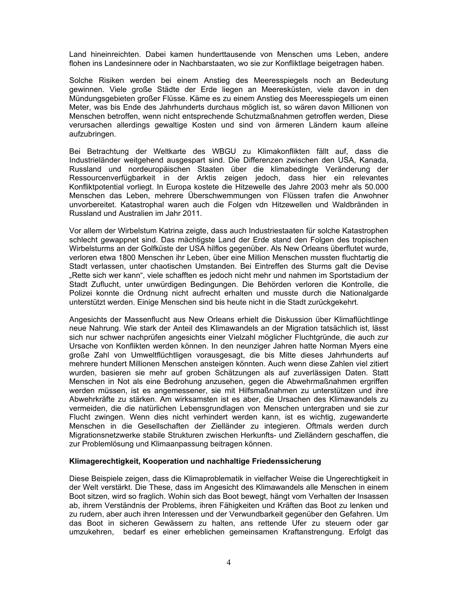Land hineinreichten. Dabei kamen hunderttausende von Menschen ums Leben, andere flohen ins Landesinnere oder in Nachbarstaaten, wo sie zur Konfliktlage beigetragen haben.

Solche Risiken werden bei einem Anstieg des Meeresspiegels noch an Bedeutung gewinnen. Viele große Städte der Erde liegen an Meeresküsten, viele davon in den Mündungsgebieten großer Flüsse. Käme es zu einem Anstieg des Meeresspiegels um einen Meter, was bis Ende des Jahrhunderts durchaus möglich ist, so wären davon Millionen von Menschen betroffen, wenn nicht entsprechende Schutzmaßnahmen getroffen werden. Diese verursachen allerdings gewaltige Kosten und sind von ärmeren Ländern kaum alleine aufzubringen.

Bei Betrachtung der Weltkarte des WBGU zu Klimakonflikten fällt auf, dass die Industrieländer weitgehend ausgespart sind. Die Differenzen zwischen den USA, Kanada, Russland und nordeuropäischen Staaten über die klimabedingte Veränderung der Ressourcenverfügbarkeit in der Arktis zeigen jedoch, dass hier ein relevantes Konfliktpotential vorliegt. In Europa kostete die Hitzewelle des Jahre 2003 mehr als 50.000 Menschen das Leben, mehrere Überschwemmungen von Flüssen trafen die Anwohner unvorbereitet. Katastrophal waren auch die Folgen vdn Hitzewellen und Waldbränden in Russland und Australien im Jahr 2011.

Vor allem der Wirbelstum Katrina zeigte, dass auch Industriestaaten für solche Katastrophen schlecht gewappnet sind. Das mächtigste Land der Erde stand den Folgen des tropischen Wirbelsturms an der Golfküste der USA hilflos gegenüber. Als New Orleans überflutet wurde. verloren etwa 1800 Menschen ihr Leben, über eine Million Menschen mussten fluchtartig die Stadt verlassen, unter chaotischen Umstanden. Bei Eintreffen des Sturms galt die Devise "Rette sich wer kann", viele schafften es jedoch nicht mehr und nahmen im Sportstadium der Stadt Zuflucht, unter unwürdigen Bedingungen. Die Behörden verloren die Kontrolle, die Polizei konnte die Ordnung nicht aufrecht erhalten und musste durch die Nationalgarde unterstützt werden. Einige Menschen sind bis heute nicht in die Stadt zurückgekehrt.

Angesichts der Massenflucht aus New Orleans erhielt die Diskussion über Klimaflüchtlinge neue Nahrung. Wie stark der Anteil des Klimawandels an der Migration tatsächlich ist, lässt sich nur schwer nachprüfen angesichts einer Vielzahl möglicher Fluchtgründe, die auch zur Ursache von Konflikten werden können. In den neunziger Jahren hatte Norman Myers eine große Zahl von Umweltflüchtligen vorausgesagt, die bis Mitte dieses Jahrhunderts auf mehrere hundert Millionen Menschen ansteigen könnten. Auch wenn diese Zahlen viel zitiert wurden, basieren sie mehr auf groben Schätzungen als auf zuverlässigen Daten. Statt Menschen in Not als eine Bedrohung anzusehen, gegen die Abwehrmaßnahmen ergriffen werden müssen, ist es angemessener, sie mit Hilfsmaßnahmen zu unterstützen und ihre Abwehrkräfte zu stärken. Am wirksamsten ist es aber, die Ursachen des Klimawandels zu vermeiden, die die natürlichen Lebensgrundlagen von Menschen untergraben und sie zur Flucht zwingen. Wenn dies nicht verhindert werden kann, ist es wichtig, zugewanderte Menschen in die Gesellschaften der Zielländer zu integieren. Oftmals werden durch Migrationsnetzwerke stabile Strukturen zwischen Herkunfts- und Zielländern geschaffen, die zur Problemlösung und Klimaanpassung beitragen können.

### Klimagerechtigkeit, Kooperation und nachhaltige Friedenssicherung

Diese Beispiele zeigen, dass die Klimaproblematik in vielfacher Weise die Ungerechtigkeit in der Welt verstärkt. Die These, dass im Angesicht des Klimawandels alle Menschen in einem Boot sitzen, wird so fraglich. Wohin sich das Boot bewegt, hängt vom Verhalten der Insassen ab, ihrem Verständnis der Problems, ihren Fähigkeiten und Kräften das Boot zu lenken und zu rudern, aber auch ihren Interessen und der Verwundbarkeit gegenüber den Gefahren. Um das Boot in sicheren Gewässern zu halten, ans rettende Ufer zu steuern oder gar umzukehren, bedarf es einer erheblichen gemeinsamen Kraftanstrengung. Erfolgt das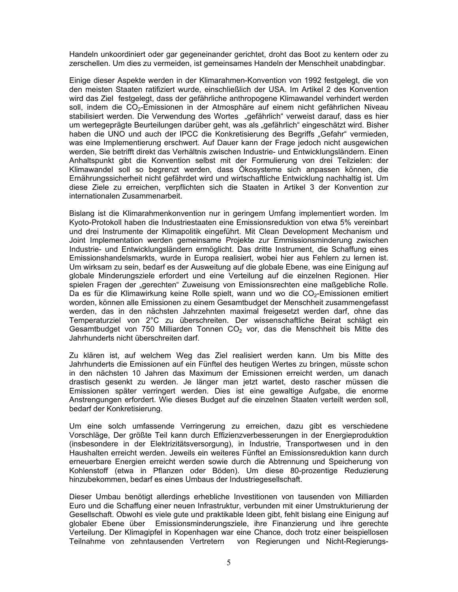Handeln unkoordiniert oder gar gegeneinander gerichtet, droht das Boot zu kentern oder zu zerschellen. Um dies zu vermeiden, ist gemeinsames Handeln der Menschheit unabdingbar.

Einige dieser Aspekte werden in der Klimarahmen-Konvention von 1992 festgelegt, die von den meisten Staaten ratifiziert wurde, einschließlich der USA. Im Artikel 2 des Konvention wird das Ziel festgelegt, dass der gefährliche anthropogene Klimawandel verhindert werden soll, indem die CO<sub>2</sub>-Emissionen in der Atmosphäre auf einem nicht gefährlichen Niveau stabilisiert werden. Die Verwendung des Wortes "gefährlich" verweist darauf, dass es hier um wertegeprägte Beurteilungen darüber geht, was als "gefährlich" eingeschätzt wird. Bisher haben die UNO und auch der IPCC die Konkretisierung des Begriffs "Gefahr" vermieden, was eine Implementierung erschwert. Auf Dauer kann der Frage jedoch nicht ausgewichen werden, Sie betrifft direkt das Verhältnis zwischen Industrie- und Entwicklungsländern. Einen Anhaltspunkt gibt die Konvention selbst mit der Formulierung von drei Teilzielen: der Klimawandel soll so begrenzt werden, dass Ökosysteme sich anpassen können, die Ernährungssicherheit nicht gefährdet wird und wirtschaftliche Entwicklung nachhaltig ist. Um diese Ziele zu erreichen, verpflichten sich die Staaten in Artikel 3 der Konvention zur internationalen Zusammenarbeit.

Bislang ist die Klimarahmenkonvention nur in geringem Umfang implementiert worden. Im Kyoto-Protokoll haben die Industriestaaten eine Emissionsreduktion von etwa 5% vereinbart und drei Instrumente der Klimapolitik eingeführt. Mit Clean Development Mechanism und Joint Implementation werden gemeinsame Projekte zur Emmissionsminderung zwischen Industrie- und Entwicklungsländern ermöglicht. Das dritte Instrument, die Schaffung eines Emissionshandelsmarkts, wurde in Europa realisiert, wobei hier aus Fehlern zu lernen ist. Um wirksam zu sein, bedarf es der Ausweitung auf die globale Ebene, was eine Einigung auf globale Minderungsziele erfordert und eine Verteilung auf die einzelnen Regionen. Hier spielen Fragen der "gerechten" Zuweisung von Emissionsrechten eine maßgebliche Rolle. Da es für die Klimawirkung keine Rolle spielt, wann und wo die CO<sub>2</sub>-Emissionen emitiert worden, können alle Emissionen zu einem Gesamtbudget der Menschheit zusammengefasst werden, das in den nächsten Jahrzehnten maximal freigesetzt werden darf, ohne das Temperaturziel von 2°C zu überschreiten. Der wissenschaftliche Beirat schlägt ein Gesamtbudget von 750 Milliarden Tonnen CO<sub>2</sub> vor, das die Menschheit bis Mitte des Jahrhunderts nicht überschreiten darf.

Zu klären ist, auf welchem Weg das Ziel realisiert werden kann. Um bis Mitte des Jahrhunderts die Emissionen auf ein Fünftel des heutigen Wertes zu bringen, müsste schon in den nächsten 10 Jahren das Maximum der Emissionen erreicht werden, um danach drastisch gesenkt zu werden. Je länger man jetzt wartet, desto rascher müssen die Emissionen später verringert werden. Dies ist eine gewaltige Aufgabe, die enorme Anstrengungen erfordert. Wie dieses Budget auf die einzelnen Staaten verteilt werden soll, bedarf der Konkretisierung.

Um eine solch umfassende Verringerung zu erreichen, dazu gibt es verschiedene Vorschläge, Der größte Teil kann durch Effizienzverbesserungen in der Energieproduktion (insbesondere in der Elektrizitätsversorgung), in Industrie, Transportwesen und in den Haushalten erreicht werden. Jeweils ein weiteres Fünftel an Emissionsreduktion kann durch erneuerbare Energien erreicht werden sowie durch die Abtrennung und Speicherung von Kohlenstoff (etwa in Pflanzen oder Böden). Um diese 80-prozentige Reduzierung hinzubekommen, bedarf es eines Umbaus der Industriegesellschaft.

Dieser Umbau benötigt allerdings erhebliche Investitionen von tausenden von Milliarden Euro und die Schaffung einer neuen Infrastruktur, verbunden mit einer Umstrukturierung der Gesellschaft. Obwohl es viele gute und praktikable Ideen gibt, fehlt bislang eine Einigung auf globaler Ebene über Emissionsminderungsziele, ihre Finanzierung und ihre gerechte Verteilung. Der Klimagipfel in Kopenhagen war eine Chance, doch trotz einer beispiellosen Teilnahme von zehntausenden Vertretern von Regierungen und Nicht-Regierungs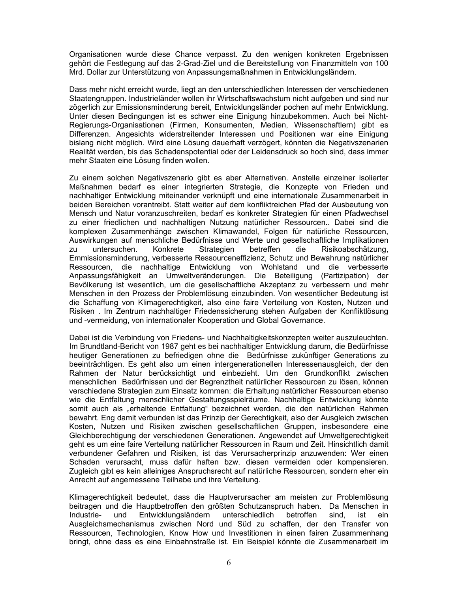Organisationen wurde diese Chance verpasst. Zu den wenigen konkreten Ergebnissen gehört die Festlegung auf das 2-Grad-Ziel und die Bereitstellung von Finanzmitteln von 100 Mrd. Dollar zur Unterstützung von Anpassungsmaßnahmen in Entwicklungsländern.

Dass mehr nicht erreicht wurde, liegt an den unterschiedlichen Interessen der verschiedenen Staatengruppen. Industrieländer wollen ihr Wirtschaftswachstum nicht aufgeben und sind nur zögerlich zur Emissionsminderung bereit, Entwicklungsländer pochen auf mehr Entwicklung. Unter diesen Bedingungen ist es schwer eine Einigung hinzubekommen. Auch bei Nicht-Regierungs-Organisationen (Firmen, Konsumenten, Medien, Wissenschaftlern) gibt es Differenzen. Angesichts widerstreitender Interessen und Positionen war eine Einigung bislang nicht möglich. Wird eine Lösung dauerhaft verzögert, könnten die Negativszenarien Realität werden, bis das Schadenspotential oder der Leidensdruck so hoch sind, dass immer mehr Staaten eine Lösung finden wollen.

Zu einem solchen Negativszenario gibt es aber Alternativen. Anstelle einzelner isolierter Maßnahmen bedarf es einer integrierten Strategie, die Konzepte von Frieden und nachhaltiger Entwicklung miteinander verknüpft und eine internationale Zusammenarbeit in beiden Bereichen vorantreibt. Statt weiter auf dem konfliktreichen Pfad der Ausbeutung von Mensch und Natur voranzuschreiten, bedarf es konkreter Strategien für einen Pfadwechsel zu einer friedlichen und nachhaltigen Nutzung natürlicher Ressourcen.. Dabei sind die komplexen Zusammenhänge zwischen Klimawandel, Folgen für natürliche Ressourcen, Auswirkungen auf menschliche Bedürfnisse und Werte und gesellschaftliche Implikationen zu untersuchen. Konkrete Strategien betreffen die Risikoabschätzung, Emmissionsminderung, verbesserte Ressourceneffizienz, Schutz und Bewahrung natürlicher Ressourcen, die nachhaltige Entwicklung von Wohlstand und die verbesserte Anpassungsfähigkeit an Umweltveränderungen. Die Beteiligung (Partizipation) der Bevölkerung ist wesentlich, um die gesellschaftliche Akzeptanz zu verbessern und mehr Menschen in den Prozess der Problemlösung einzubinden. Von wesentlicher Bedeutung ist die Schaffung von Klimagerechtigkeit, also eine faire Verteilung von Kosten, Nutzen und Risiken. Im Zentrum nachhaltiger Friedenssicherung stehen Aufgaben der Konfliktlösung und -vermeidung, von internationaler Kooperation und Global Governance.

Dabei ist die Verbindung von Friedens- und Nachhaltigkeitskonzepten weiter auszuleuchten. Im Brundtland-Bericht von 1987 geht es bei nachhaltiger Entwicklung darum, die Bedürfnisse heutiger Generationen zu befriedigen ohne die Bedürfnisse zukünftiger Generations zu beeinträchtigen. Es geht also um einen intergenerationellen Interessenausgleich, der den Rahmen der Natur berücksichtigt und einbezieht. Um den Grundkonflikt zwischen menschlichen Bedürfnissen und der Begrenztheit natürlicher Ressourcen zu lösen, können verschiedene Strategien zum Einsatz kommen: die Erhaltung natürlicher Ressourcen ebenso wie die Entfaltung menschlicher Gestaltungsspielräume. Nachhaltige Entwicklung könnte somit auch als "erhaltende Entfaltung" bezeichnet werden, die den natürlichen Rahmen bewahrt. Eng damit verbunden ist das Prinzip der Gerechtigkeit, also der Ausgleich zwischen Kosten, Nutzen und Risiken zwischen gesellschaftlichen Gruppen, insbesondere eine Gleichberechtigung der verschiedenen Generationen. Angewendet auf Umweltgerechtigkeit geht es um eine faire Verteilung natürlicher Ressourcen in Raum und Zeit. Hinsichtlich damit verbundener Gefahren und Risiken, ist das Verursacherprinzip anzuwenden: Wer einen Schaden verursacht, muss dafür haften bzw. diesen vermeiden oder kompensieren. Zugleich gibt es kein alleiniges Anspruchsrecht auf natürliche Ressourcen, sondern eher ein Anrecht auf angemessene Teilhabe und ihre Verteilung.

Klimagerechtigkeit bedeutet, dass die Hauptverursacher am meisten zur Problemlösung beitragen und die Hauptbetroffen den größten Schutzanspruch haben. Da Menschen in Industrieund Entwicklungsländern unterschiedlich betroffen sind, ist ein Ausgleichsmechanismus zwischen Nord und Süd zu schaffen, der den Transfer von Ressourcen, Technologien, Know How und Investitionen in einen fairen Zusammenhang bringt, ohne dass es eine Einbahnstraße ist. Ein Beispiel könnte die Zusammenarbeit im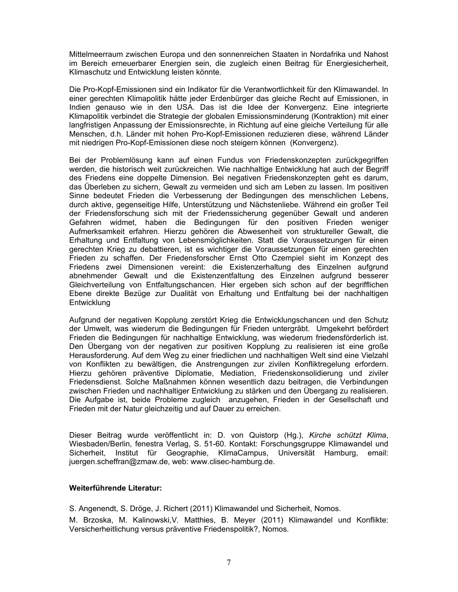Mittelmeerraum zwischen Europa und den sonnenreichen Staaten in Nordafrika und Nahost im Bereich erneuerbarer Energien sein, die zugleich einen Beitrag für Energiesicherheit, Klimaschutz und Entwicklung leisten könnte.

Die Pro-Kopf-Emissionen sind ein Indikator für die Verantwortlichkeit für den Klimawandel. In einer gerechten Klimapolitik hätte jeder Erdenbürger das gleiche Recht auf Emissionen, in Indien genauso wie in den USA. Das ist die Idee der Konvergenz. Eine integrierte Klimapolitik verbindet die Strategie der globalen Emissionsminderung (Kontraktion) mit einer langfristigen Anpassung der Emissionsrechte, in Richtung auf eine gleiche Verteilung für alle Menschen, d.h. Länder mit hohen Pro-Kopf-Emissionen reduzieren diese, während Länder mit niedrigen Pro-Kopf-Emissionen diese noch steigern können (Konvergenz).

Bei der Problemlösung kann auf einen Fundus von Friedenskonzepten zurückgegriffen werden, die historisch weit zurückreichen. Wie nachhaltige Entwicklung hat auch der Begriff des Friedens eine doppelte Dimension. Bei negativen Friedenskonzepten geht es darum, das Überleben zu sichern, Gewalt zu vermeiden und sich am Leben zu lassen. Im positiven Sinne bedeutet Frieden die Verbesserung der Bedingungen des menschlichen Lebens, durch aktive, gegenseitige Hilfe, Unterstützung und Nächstenliebe. Während ein großer Teil der Friedensforschung sich mit der Friedenssicherung gegenüber Gewalt und anderen Gefahren widmet, haben die Bedingungen für den positiven Frieden weniger Aufmerksamkeit erfahren. Hierzu gehören die Abwesenheit von struktureller Gewalt, die Erhaltung und Entfaltung von Lebensmöglichkeiten. Statt die Voraussetzungen für einen gerechten Krieg zu debattieren, ist es wichtiger die Voraussetzungen für einen gerechten Frieden zu schaffen. Der Friedensforscher Ernst Otto Czempiel sieht im Konzept des Friedens zwei Dimensionen vereint: die Existenzerhaltung des Einzelnen aufgrund abnehmender Gewalt und die Existenzentfaltung des Einzelnen aufgrund besserer Gleichverteilung von Entfaltungschancen. Hier ergeben sich schon auf der begrifflichen Ebene direkte Bezüge zur Dualität von Erhaltung und Entfaltung bei der nachhaltigen Entwicklung

Aufgrund der negativen Kopplung zerstört Krieg die Entwicklungschancen und den Schutz der Umwelt, was wiederum die Bedingungen für Frieden untergräbt. Umgekehrt befördert Frieden die Bedingungen für nachhaltige Entwicklung, was wiederum friedensförderlich ist. Den Übergang von der negativen zur positiven Kopplung zu realisieren ist eine große Herausforderung. Auf dem Weg zu einer friedlichen und nachhaltigen Welt sind eine Vielzahl von Konflikten zu bewältigen, die Anstrengungen zur zivilen Konfliktregelung erfordern. Hierzu gehören präventive Diplomatie, Mediation, Friedenskonsolidierung und ziviler Friedensdienst. Solche Maßnahmen können wesentlich dazu beitragen, die Verbindungen zwischen Frieden und nachhaltiger Entwicklung zu stärken und den Übergang zu realisieren. Die Aufgabe ist, beide Probleme zugleich anzugehen, Frieden in der Gesellschaft und Frieden mit der Natur gleichzeitig und auf Dauer zu erreichen.

Dieser Beitrag wurde veröffentlicht in: D. von Quistorp (Hg.), Kirche schützt Klima, Wiesbaden/Berlin, fenestra Verlag, S. 51-60. Kontakt: Forschungsgruppe Klimawandel und Sicherheit, Institut für Geographie, KlimaCampus, Universität Hamburg, email: juergen.scheffran@zmaw.de, web: www.clisec-hamburg.de.

### Weiterführende Literatur:

S. Angenendt, S. Dröge, J. Richert (2011) Klimawandel und Sicherheit, Nomos.

M. Brzoska, M. Kalinowski, V. Matthies, B. Meyer (2011) Klimawandel und Konflikte: Versicherheitlichung versus präventive Friedenspolitik?, Nomos.